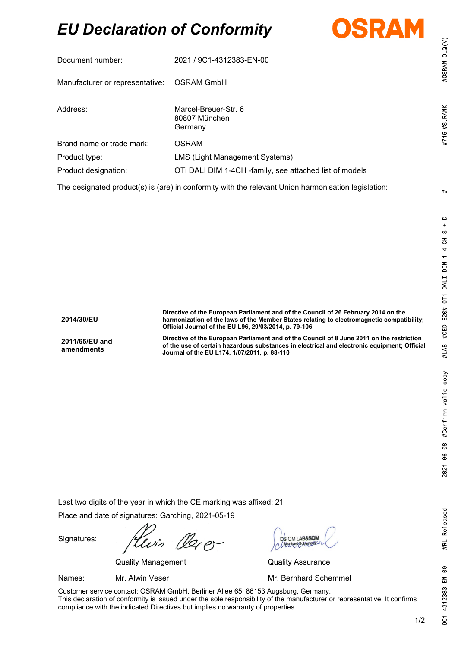# *EU Declaration of Conformity*



| í                          |
|----------------------------|
| ž<br>š<br>c<br>¢<br>Ξ<br>ŧ |

| Document number:                           | 2021 / 9C1-4312383-EN-00                                |
|--------------------------------------------|---------------------------------------------------------|
| Manufacturer or representative: OSRAM GmbH |                                                         |
| Address:                                   | Marcel-Breuer-Str. 6<br>80807 München<br>Germany        |
| Brand name or trade mark:                  | OSRAM                                                   |
| Product type:                              | LMS (Light Management Systems)                          |
| Product designation:                       | OTI DALI DIM 1-4CH -family, see attached list of models |

The designated product(s) is (are) in conformity with the relevant Union harmonisation legislation:

**2014/30/EU**

**2011/65/EU and amendments**

**Directive of the European Parliament and of the Council of 26 February 2014 on the harmonization of the laws of the Member States relating to electromagnetic compatibility; Official Journal of the EU L96, 29/03/2014, p. 79-106**

**Directive of the European Parliament and of the Council of 8 June 2011 on the restriction of the use of certain hazardous substances in electrical and electronic equipment; Official Journal of the EU L174, 1/07/2011, p. 88-110**

Last two digits of the year in which the CE marking was affixed: 21

Place and date of signatures: Garching, 2021-05-19

Signatures:

 $z\rho$ 

Quality Management Quality Assurance

DS OM LAB&SON

Names: Mr. Alwin Veser Mr. **Mr. Bernhard Schemmel** 

Customer service contact: OSRAM GmbH, Berliner Allee 65, 86153 Augsburg, Germany. This declaration of conformity is issued under the sole responsibility of the manufacturer or representative. It confirms compliance with the indicated Directives but implies no warranty of properties.